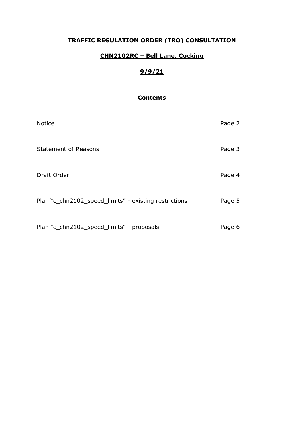# **TRAFFIC REGULATION ORDER (TRO) CONSULTATION**

## **CHN2102RC – Bell Lane, Cocking**

# **9/9/21**

## **Contents**

| <b>Notice</b>                                         | Page 2 |
|-------------------------------------------------------|--------|
| <b>Statement of Reasons</b>                           | Page 3 |
| Draft Order                                           | Page 4 |
| Plan "c_chn2102_speed_limits" - existing restrictions | Page 5 |
| Plan "c_chn2102_speed_limits" - proposals             | Page 6 |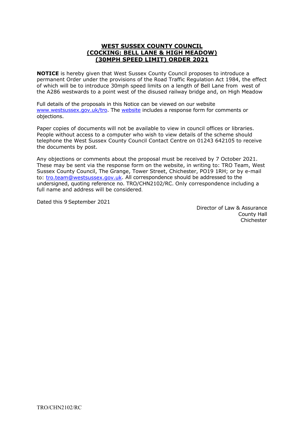#### **WEST SUSSEX COUNTY COUNCIL (COCKING: BELL LANE & HIGH MEADOW) (30MPH SPEED LIMIT) ORDER 2021**

**NOTICE** is hereby given that West Sussex County Council proposes to introduce a permanent Order under the provisions of the Road Traffic Regulation Act 1984, the effect of which will be to introduce 30mph speed limits on a length of Bell Lane from west of the A286 westwards to a point west of the disused railway bridge and, on High Meadow

Full details of the proposals in this Notice can be viewed on our website [www.westsussex.gov.uk/tro.](http://www.westsussex.gov.uk/tro) The [website](https://www.westsussex.gov.uk/roads-and-travel/traffic-regulation-orders/) includes a response form for comments or objections.

Paper copies of documents will not be available to view in council offices or libraries. People without access to a computer who wish to view details of the scheme should telephone the West Sussex County Council Contact Centre on 01243 642105 to receive the documents by post.

Any objections or comments about the proposal must be received by 7 October 2021. These may be sent via the response form on the website, in writing to: TRO Team, West Sussex County Council, The Grange, Tower Street, Chichester, PO19 1RH; or by e-mail to: [tro.team@westsussex.gov.uk.](mailto:tro.team@westsussex.gov.uk) All correspondence should be addressed to the undersigned, quoting reference no. TRO/CHN2102/RC. Only correspondence including a full name and address will be considered.

Dated this 9 September 2021

 Director of Law & Assurance County Hall Chichester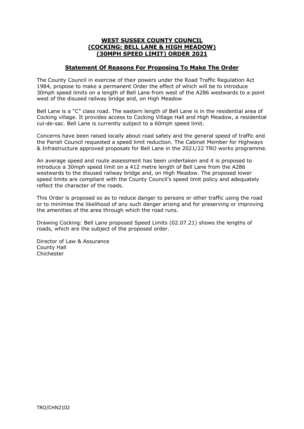### **WEST SUSSEX COUNTY COUNCIL (COCKING: BELL LANE & HIGH MEADOW) (30MPH SPEED LIMIT) ORDER 2021**

### **Statement Of Reasons For Proposing To Make The Order**

The County Council in exercise of their powers under the Road Traffic Regulation Act 1984, propose to make a permanent Order the effect of which will be to introduce 30mph speed limits on a length of Bell Lane from west of the A286 westwards to a point west of the disused railway bridge and, on High Meadow

Bell Lane is a "C" class road. The eastern length of Bell Lane is in the residential area of Cocking village. It provides access to Cocking Village Hall and High Meadow, a residential cul-de-sac. Bell Lane is currently subject to a 60mph speed limit.

Concerns have been raised locally about road safety and the general speed of traffic and the Parish Council requested a speed limit reduction. The Cabinet Member for Highways & Infrastructure approved proposals for Bell Lane in the 2021/22 TRO works programme.

An average speed and route assessment has been undertaken and it is proposed to introduce a 30mph speed limit on a 412 metre length of Bell Lane from the A286 westwards to the disused railway bridge and, on High Meadow. The proposed lower speed limits are compliant with the County Council's speed limit policy and adequately reflect the character of the roads.

This Order is proposed so as to reduce danger to persons or other traffic using the road or to minimise the likelihood of any such danger arising and for preserving or improving the amenities of the area through which the road runs.

Drawing Cocking: Bell Lane proposed Speed Limits (02.07.21) shows the lengths of roads, which are the subject of the proposed order.

Director of Law & Assurance County Hall Chichester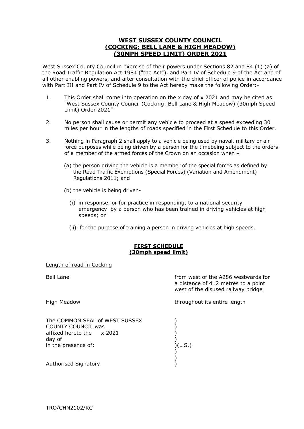### **WEST SUSSEX COUNTY COUNCIL (COCKING: BELL LANE & HIGH MEADOW) (30MPH SPEED LIMIT) ORDER 2021**

West Sussex County Council in exercise of their powers under Sections 82 and 84 (1) (a) of the Road Traffic Regulation Act 1984 ("the Act"), and Part IV of Schedule 9 of the Act and of all other enabling powers, and after consultation with the chief officer of police in accordance with Part III and Part IV of Schedule 9 to the Act hereby make the following Order:-

- 1. This Order shall come into operation on the x day of x 2021 and may be cited as "West Sussex County Council (Cocking: Bell Lane & High Meadow) (30mph Speed Limit) Order 2021"
- 2. No person shall cause or permit any vehicle to proceed at a speed exceeding 30 miles per hour in the lengths of roads specified in the First Schedule to this Order.
- 3. Nothing in Paragraph 2 shall apply to a vehicle being used by naval, military or air force purposes while being driven by a person for the timebeing subject to the orders of a member of the armed forces of the Crown on an occasion when –
	- (a) the person driving the vehicle is a member of the special forces as defined by the Road Traffic Exemptions (Special Forces) (Variation and Amendment) Regulations 2011; and
	- (b) the vehicle is being driven-
		- (i) in response, or for practice in responding, to a national security emergency by a person who has been trained in driving vehicles at high speeds; or
		- (ii) for the purpose of training a person in driving vehicles at high speeds.

#### **FIRST SCHEDULE (30mph speed limit)**

#### Length of road in Cocking

Bell Lane **from west of the A286 westwards for** a distance of 412 metres to a point west of the disused railway bridge

High Meadow **throughout its entire length** 

The COMMON SEAL of WEST SUSSEX  $)$ day of  $\qquad \qquad \qquad$  ) COUNTY COUNCIL was (affixed hereto the  $\alpha$  2021 (asset) affixed hereto the x 2021 in the presence of: )(L.S.) )

)

Authorised Signatory )

TRO/CHN2102/RC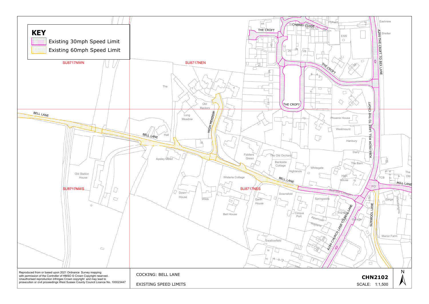